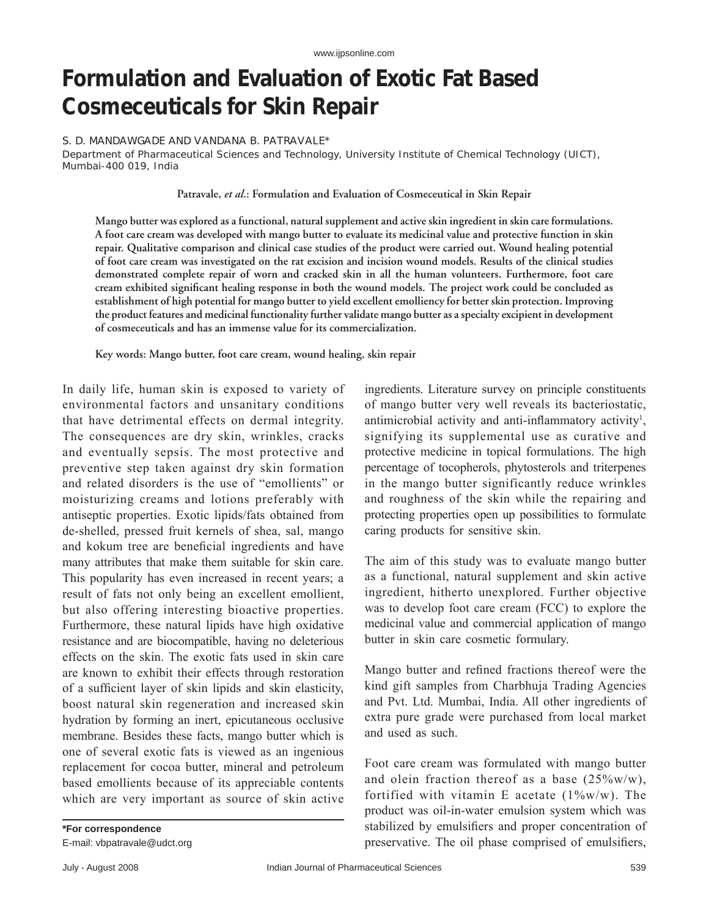# **Formulation and Evaluation of Exotic Fat Based Cosmeceuticals for Skin Repair**

### S. D. MANDAWGADE AND VANDANA B. PATRAVALE\*

Department of Pharmaceutical Sciences and Technology, University Institute of Chemical Technology (UICT), Mumbai-400 019, India

#### **Patravale,** *et al***.: Formulation and Evaluation of Cosmeceutical in Skin Repair**

**Mango butter was explored as a functional, natural supplement and active skin ingredient in skin care formulations. A foot care cream was developed with mango butter to evaluate its medicinal value and protective function in skin repair. Qualitative comparison and clinical case studies of the product were carried out. Wound healing potential of foot care cream was investigated on the rat excision and incision wound models. Results of the clinical studies demonstrated complete repair of worn and cracked skin in all the human volunteers. Furthermore, foot care**  cream exhibited significant healing response in both the wound models. The project work could be concluded as **establishment of high potential for mango butter to yield excellent emolliency for better skin protection. Improving the product features and medicinal functionality further validate mango butter as a specialty excipient in development of cosmeceuticals and has an immense value for its commercialization.**

**Key words: Mango butter, foot care cream, wound healing, skin repair**

In daily life, human skin is exposed to variety of environmental factors and unsanitary conditions that have detrimental effects on dermal integrity. The consequences are dry skin, wrinkles, cracks and eventually sepsis. The most protective and preventive step taken against dry skin formation and related disorders is the use of "emollients" or moisturizing creams and lotions preferably with antiseptic properties. Exotic lipids/fats obtained from de-shelled, pressed fruit kernels of shea, sal, mango and kokum tree are beneficial ingredients and have many attributes that make them suitable for skin care. This popularity has even increased in recent years; a result of fats not only being an excellent emollient, but also offering interesting bioactive properties. Furthermore, these natural lipids have high oxidative resistance and are biocompatible, having no deleterious effects on the skin. The exotic fats used in skin care are known to exhibit their effects through restoration of a sufficient layer of skin lipids and skin elasticity, boost natural skin regeneration and increased skin hydration by forming an inert, epicutaneous occlusive membrane. Besides these facts, mango butter which is one of several exotic fats is viewed as an ingenious replacement for cocoa butter, mineral and petroleum based emollients because of its appreciable contents which are very important as source of skin active

**\*For correspondence** E-mail: vbpatravale@udct.org ingredients. Literature survey on principle constituents of mango butter very well reveals its bacteriostatic, antimicrobial activity and anti-inflammatory activity<sup>1</sup>, signifying its supplemental use as curative and protective medicine in topical formulations. The high percentage of tocopherols, phytosterols and triterpenes in the mango butter significantly reduce wrinkles and roughness of the skin while the repairing and protecting properties open up possibilities to formulate caring products for sensitive skin.

The aim of this study was to evaluate mango butter as a functional, natural supplement and skin active ingredient, hitherto unexplored. Further objective was to develop foot care cream (FCC) to explore the medicinal value and commercial application of mango butter in skin care cosmetic formulary.

Mango butter and refined fractions thereof were the kind gift samples from Charbhuja Trading Agencies and Pvt. Ltd. Mumbai, India. All other ingredients of extra pure grade were purchased from local market and used as such.

Foot care cream was formulated with mango butter and olein fraction thereof as a base  $(25\% \text{w/w})$ , fortified with vitamin E acetate  $(1\%w/w)$ . The product was oil-in-water emulsion system which was stabilized by emulsifiers and proper concentration of preservative. The oil phase comprised of emulsifiers,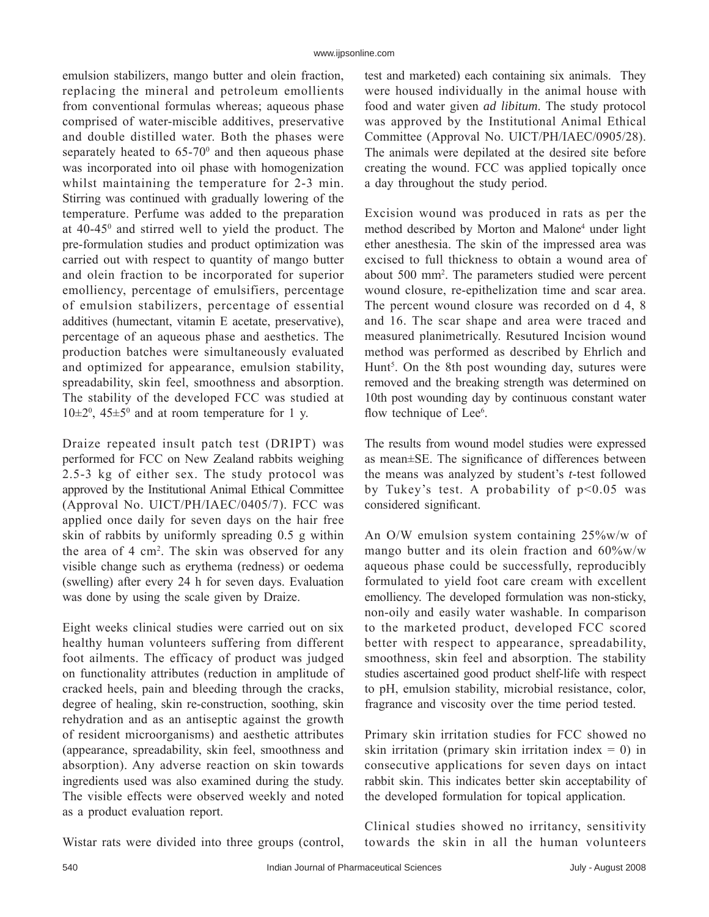emulsion stabilizers, mango butter and olein fraction, replacing the mineral and petroleum emollients from conventional formulas whereas; aqueous phase comprised of water-miscible additives, preservative and double distilled water. Both the phases were separately heated to  $65-70$ <sup>0</sup> and then aqueous phase was incorporated into oil phase with homogenization whilst maintaining the temperature for 2-3 min. Stirring was continued with gradually lowering of the temperature. Perfume was added to the preparation at 40-45<sup>0</sup> and stirred well to yield the product. The pre-formulation studies and product optimization was carried out with respect to quantity of mango butter and olein fraction to be incorporated for superior emolliency, percentage of emulsifiers, percentage of emulsion stabilizers, percentage of essential additives (humectant, vitamin E acetate, preservative), percentage of an aqueous phase and aesthetics. The production batches were simultaneously evaluated and optimized for appearance, emulsion stability, spreadability, skin feel, smoothness and absorption. The stability of the developed FCC was studied at  $10\pm2^0$ ,  $45\pm5^0$  and at room temperature for 1 y.

Draize repeated insult patch test (DRIPT) was performed for FCC on New Zealand rabbits weighing 2.5-3 kg of either sex. The study protocol was approved by the Institutional Animal Ethical Committee (Approval No. UICT/PH/IAEC/0405/7). FCC was applied once daily for seven days on the hair free skin of rabbits by uniformly spreading 0.5 g within the area of 4 cm2 . The skin was observed for any visible change such as erythema (redness) or oedema (swelling) after every 24 h for seven days. Evaluation was done by using the scale given by Draize.

Eight weeks clinical studies were carried out on six healthy human volunteers suffering from different foot ailments. The efficacy of product was judged on functionality attributes (reduction in amplitude of cracked heels, pain and bleeding through the cracks, degree of healing, skin re-construction, soothing, skin rehydration and as an antiseptic against the growth of resident microorganisms) and aesthetic attributes (appearance, spreadability, skin feel, smoothness and absorption). Any adverse reaction on skin towards ingredients used was also examined during the study. The visible effects were observed weekly and noted as a product evaluation report.

test and marketed) each containing six animals. They were housed individually in the animal house with food and water given *ad libitum*. The study protocol was approved by the Institutional Animal Ethical Committee (Approval No. UICT/PH/IAEC/0905/28). The animals were depilated at the desired site before creating the wound. FCC was applied topically once a day throughout the study period.

Excision wound was produced in rats as per the method described by Morton and Malone<sup>4</sup> under light ether anesthesia. The skin of the impressed area was excised to full thickness to obtain a wound area of about 500 mm2 . The parameters studied were percent wound closure, re-epithelization time and scar area. The percent wound closure was recorded on d 4, 8 and 16. The scar shape and area were traced and measured planimetrically. Resutured Incision wound method was performed as described by Ehrlich and Hunt<sup>5</sup>. On the 8th post wounding day, sutures were removed and the breaking strength was determined on 10th post wounding day by continuous constant water flow technique of Lee<sup>6</sup>.

The results from wound model studies were expressed as mean $\pm$ SE. The significance of differences between the means was analyzed by student's *t*-test followed by Tukey's test. A probability of  $p<0.05$  was considered significant.

An O/W emulsion system containing 25%w/w of mango butter and its olein fraction and 60%w/w aqueous phase could be successfully, reproducibly formulated to yield foot care cream with excellent emolliency. The developed formulation was non-sticky, non-oily and easily water washable. In comparison to the marketed product, developed FCC scored better with respect to appearance, spreadability, smoothness, skin feel and absorption. The stability studies ascertained good product shelf-life with respect to pH, emulsion stability, microbial resistance, color, fragrance and viscosity over the time period tested.

Primary skin irritation studies for FCC showed no skin irritation (primary skin irritation index  $= 0$ ) in consecutive applications for seven days on intact rabbit skin. This indicates better skin acceptability of the developed formulation for topical application.

Clinical studies showed no irritancy, sensitivity towards the skin in all the human volunteers

Wistar rats were divided into three groups (control,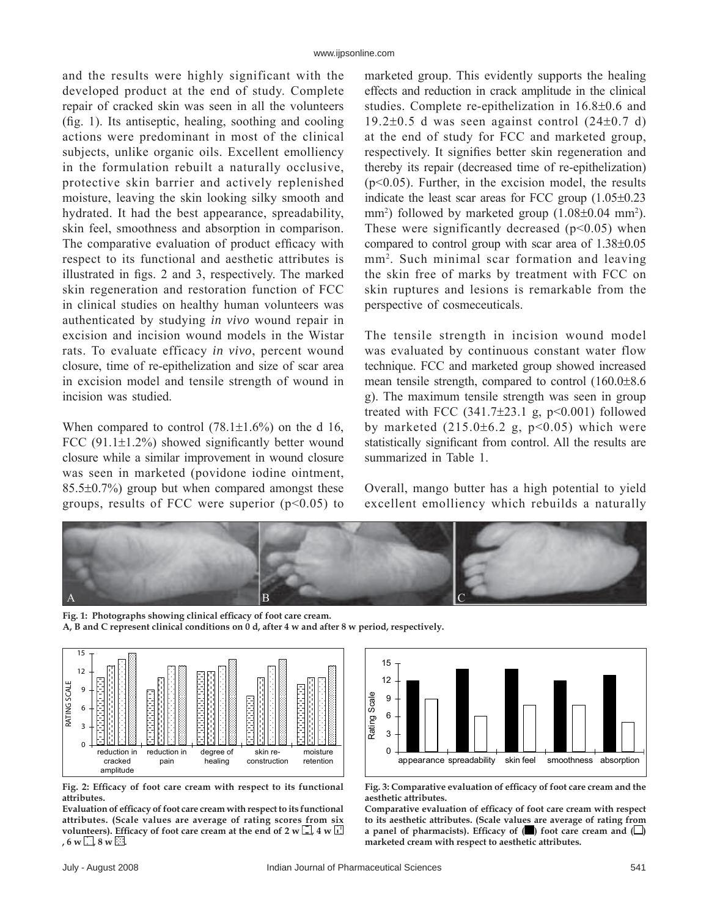and the results were highly significant with the developed product at the end of study. Complete repair of cracked skin was seen in all the volunteers  $(f_1, g_2, g_3)$ . Its antiseptic, healing, soothing and cooling actions were predominant in most of the clinical subjects, unlike organic oils. Excellent emolliency in the formulation rebuilt a naturally occlusive, protective skin barrier and actively replenished moisture, leaving the skin looking silky smooth and hydrated. It had the best appearance, spreadability, skin feel, smoothness and absorption in comparison. The comparative evaluation of product efficacy with respect to its functional and aesthetic attributes is illustrated in figs.  $2$  and  $3$ , respectively. The marked skin regeneration and restoration function of FCC in clinical studies on healthy human volunteers was authenticated by studying *in vivo* wound repair in excision and incision wound models in the Wistar rats. To evaluate efficacy *in vivo*, percent wound closure, time of re-epithelization and size of scar area in excision model and tensile strength of wound in incision was studied.

When compared to control  $(78.1 \pm 1.6\%)$  on the d 16, FCC  $(91.1\pm1.2\%)$  showed significantly better wound closure while a similar improvement in wound closure was seen in marketed (povidone iodine ointment, 85.5±0.7%) group but when compared amongst these groups, results of FCC were superior  $(p<0.05)$  to marketed group. This evidently supports the healing effects and reduction in crack amplitude in the clinical studies. Complete re-epithelization in 16.8±0.6 and  $19.2\pm0.5$  d was seen against control  $(24\pm0.7)$  d) at the end of study for FCC and marketed group, respectively. It signifies better skin regeneration and thereby its repair (decreased time of re-epithelization) (p<0.05). Further, in the excision model, the results indicate the least scar areas for FCC group (1.05±0.23 mm<sup>2</sup>) followed by marketed group  $(1.08\pm0.04 \text{ mm}^2)$ . These were significantly decreased  $(p<0.05)$  when compared to control group with scar area of 1.38±0.05 mm2 . Such minimal scar formation and leaving the skin free of marks by treatment with FCC on skin ruptures and lesions is remarkable from the perspective of cosmeceuticals.

The tensile strength in incision wound model was evaluated by continuous constant water flow technique. FCC and marketed group showed increased mean tensile strength, compared to control (160.0±8.6 g). The maximum tensile strength was seen in group treated with FCC  $(341.7\pm23.1 \text{ g}, \text{p} < 0.001)$  followed by marketed  $(215.0\pm6.2 \text{ g}, \text{p} < 0.05)$  which were statistically significant from control. All the results are summarized in Table 1.

Overall, mango butter has a high potential to yield excellent emolliency which rebuilds a naturally



Fig. 1: Photographs showing clinical efficacy of foot care cream. **A, B and C represent clinical conditions on 0 d, after 4 w and after 8 w period, respectively.**



Fig. 2: Efficacy of foot care cream with respect to its functional **attributes.** 

**Evaluation of effi cacy of foot care cream with respect to its functional attributes. (Scale values are average of rating scores from six**  volunteers). Efficacy of foot care cream at the end of 2 w  $\Box$ , 4 w  $\Box$  $, 6 \le \Box, 8 \le \Xi.$ 



Fig. 3: Comparative evaluation of efficacy of foot care cream and the **aesthetic attributes.** 

Comparative evaluation of efficacy of foot care cream with respect **to its aesthetic attributes. (Scale values are average of rating from a panel of pharmacists). Efficacy of**  $(\blacksquare)$  **foot care cream and**  $(\square)$ **marketed cream with respect to aesthetic attributes.**